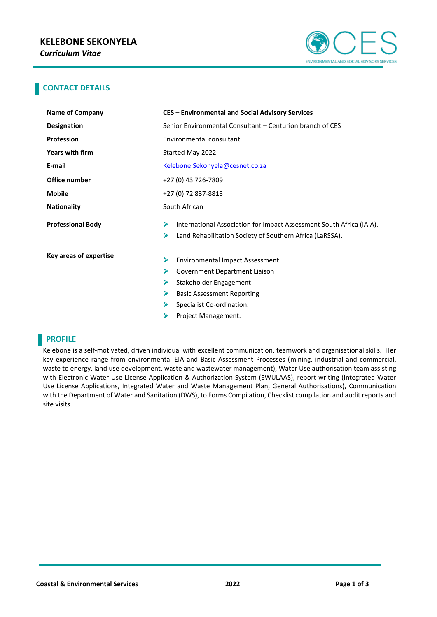

### **CONTACT DETAILS**

| Name of Company          | <b>CES - Environmental and Social Advisory Services</b>                   |  |  |
|--------------------------|---------------------------------------------------------------------------|--|--|
| <b>Designation</b>       | Senior Environmental Consultant – Centurion branch of CES                 |  |  |
| <b>Profession</b>        | Environmental consultant                                                  |  |  |
| Years with firm          | Started May 2022                                                          |  |  |
| E-mail                   | Kelebone.Sekonyela@cesnet.co.za                                           |  |  |
| Office number            | +27 (0) 43 726-7809                                                       |  |  |
| <b>Mobile</b>            | +27 (0) 72 837-8813                                                       |  |  |
| <b>Nationality</b>       | South African                                                             |  |  |
| <b>Professional Body</b> | ⋗<br>International Association for Impact Assessment South Africa (IAIA). |  |  |
|                          | ➤<br>Land Rehabilitation Society of Southern Africa (LaRSSA).             |  |  |
| Key areas of expertise   | ⋗<br><b>Environmental Impact Assessment</b>                               |  |  |
|                          |                                                                           |  |  |
|                          | ⋗<br>Government Department Liaison                                        |  |  |
|                          | Stakeholder Engagement<br>⋗                                               |  |  |
|                          | ⋗<br><b>Basic Assessment Reporting</b>                                    |  |  |
|                          | ➤<br>Specialist Co-ordination.                                            |  |  |
|                          | ⋗<br>Project Management.                                                  |  |  |

## **PROFILE**

Kelebone is a self-motivated, driven individual with excellent communication, teamwork and organisational skills. Her key experience range from environmental EIA and Basic Assessment Processes (mining, industrial and commercial, waste to energy, land use development, waste and wastewater management), Water Use authorisation team assisting with Electronic Water Use License Application & Authorization System (EWULAAS), report writing (Integrated Water Use License Applications, Integrated Water and Waste Management Plan, General Authorisations), Communication with the Department of Water and Sanitation (DWS), to Forms Compilation, Checklist compilation and audit reports and site visits.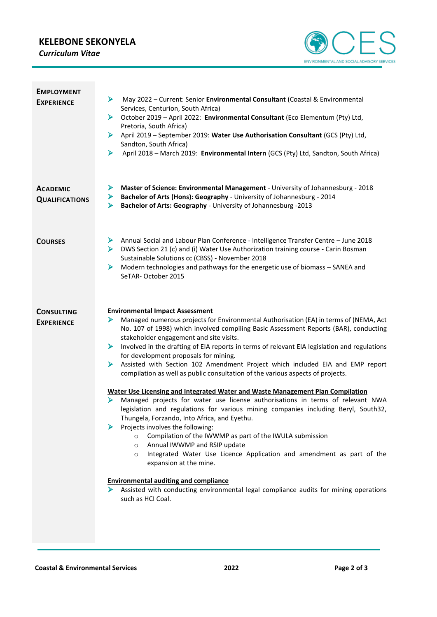# **KELEBONE SEKONYELA**

*Curriculum Vitae*



| <b>EMPLOYMENT</b><br><b>EXPERIENCE</b>   | May 2022 - Current: Senior Environmental Consultant (Coastal & Environmental<br>⋗<br>Services, Centurion, South Africa)<br>October 2019 - April 2022: Environmental Consultant (Eco Elementum (Pty) Ltd,<br>⋗<br>Pretoria, South Africa)<br>April 2019 - September 2019: Water Use Authorisation Consultant (GCS (Pty) Ltd,<br>⋗<br>Sandton, South Africa)<br>April 2018 - March 2019: Environmental Intern (GCS (Pty) Ltd, Sandton, South Africa)<br>⋗                                                                                                                                                                                                                                                                                                                                                                                                                                                                                                                                                                                                                                                                                                                                                                                                                                                                                       |
|------------------------------------------|-----------------------------------------------------------------------------------------------------------------------------------------------------------------------------------------------------------------------------------------------------------------------------------------------------------------------------------------------------------------------------------------------------------------------------------------------------------------------------------------------------------------------------------------------------------------------------------------------------------------------------------------------------------------------------------------------------------------------------------------------------------------------------------------------------------------------------------------------------------------------------------------------------------------------------------------------------------------------------------------------------------------------------------------------------------------------------------------------------------------------------------------------------------------------------------------------------------------------------------------------------------------------------------------------------------------------------------------------|
| <b>ACADEMIC</b><br><b>QUALIFICATIONS</b> | Master of Science: Environmental Management - University of Johannesburg - 2018<br>⋗<br>Bachelor of Arts (Hons): Geography - University of Johannesburg - 2014<br>➤<br>Bachelor of Arts: Geography - University of Johannesburg -2013<br>⋗                                                                                                                                                                                                                                                                                                                                                                                                                                                                                                                                                                                                                                                                                                                                                                                                                                                                                                                                                                                                                                                                                                    |
| <b>COURSES</b>                           | Annual Social and Labour Plan Conference - Intelligence Transfer Centre - June 2018<br>⋗<br>DWS Section 21 (c) and (i) Water Use Authorization training course - Carin Bosman<br>⋗<br>Sustainable Solutions cc (CBSS) - November 2018<br>Modern technologies and pathways for the energetic use of biomass - SANEA and<br>⋗<br>SeTAR-October 2015                                                                                                                                                                                                                                                                                                                                                                                                                                                                                                                                                                                                                                                                                                                                                                                                                                                                                                                                                                                             |
| <b>CONSULTING</b><br><b>EXPERIENCE</b>   | <b>Environmental Impact Assessment</b><br>Managed numerous projects for Environmental Authorisation (EA) in terms of (NEMA, Act<br>⋗<br>No. 107 of 1998) which involved compiling Basic Assessment Reports (BAR), conducting<br>stakeholder engagement and site visits.<br>Involved in the drafting of EIA reports in terms of relevant EIA legislation and regulations<br>⋗<br>for development proposals for mining.<br>Assisted with Section 102 Amendment Project which included EIA and EMP report<br>⋗<br>compilation as well as public consultation of the various aspects of projects.<br>Water Use Licensing and Integrated Water and Waste Management Plan Compilation<br>Managed projects for water use license authorisations in terms of relevant NWA<br>legislation and regulations for various mining companies including Beryl, South32,<br>Thungela, Forzando, Into Africa, and Eyethu.<br>Projects involves the following:<br>⋗<br>Compilation of the IWWMP as part of the IWULA submission<br>$\circ$<br>Annual IWWMP and RSIP update<br>$\circ$<br>Integrated Water Use Licence Application and amendment as part of the<br>$\circ$<br>expansion at the mine.<br><b>Environmental auditing and compliance</b><br>Assisted with conducting environmental legal compliance audits for mining operations<br>such as HCI Coal. |